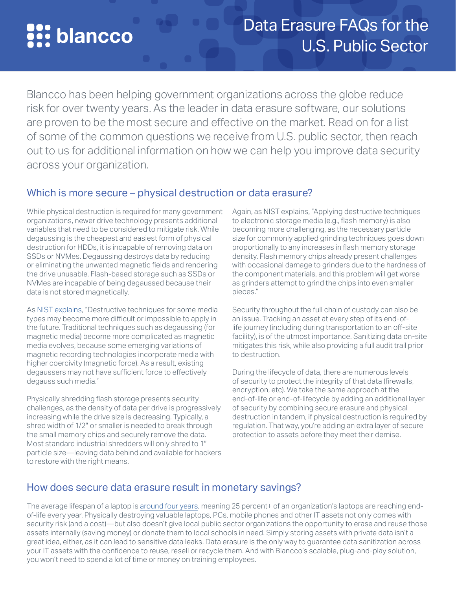# **S.** blancco

# Data Erasure FAQs for the U.S. Public Sector

Blancco has been helping government organizations across the globe reduce risk for over twenty years. As the leader in data erasure software, our solutions are proven to be the most secure and effective on the market. Read on for a list of some of the common questions we receive from U.S. public sector, then reach out to us for additional information on how we can help you improve data security across your organization.

# Which is more secure – physical destruction or data erasure?

While physical destruction is required for many government organizations, newer drive technology presents additional variables that need to be considered to mitigate risk. While degaussing is the cheapest and easiest form of physical destruction for HDDs, it is incapable of removing data on SSDs or NVMes. Degaussing destroys data by reducing or eliminating the unwanted magnetic fields and rendering the drive unusable. Flash-based storage such as SSDs or NVMes are incapable of being degaussed because their data is not stored magnetically.

As [NIST explains](https://nvlpubs.nist.gov/nistpubs/specialpublications/nist.sp.800-88r1.pdf), "Destructive techniques for some media types may become more difficult or impossible to apply in the future. Traditional techniques such as degaussing (for magnetic media) become more complicated as magnetic media evolves, because some emerging variations of magnetic recording technologies incorporate media with higher coercivity (magnetic force). As a result, existing degaussers may not have sufficient force to effectively degauss such media."

Physically shredding flash storage presents security challenges, as the density of data per drive is progressively increasing while the drive size is decreasing. Typically, a shred width of 1/2″ or smaller is needed to break through the small memory chips and securely remove the data. Most standard industrial shredders will only shred to 1″ particle size—leaving data behind and available for hackers to restore with the right means.

Again, as NIST explains, "Applying destructive techniques to electronic storage media (e.g., flash memory) is also becoming more challenging, as the necessary particle size for commonly applied grinding techniques goes down proportionally to any increases in flash memory storage density. Flash memory chips already present challenges with occasional damage to grinders due to the hardness of the component materials, and this problem will get worse as grinders attempt to grind the chips into even smaller pieces."

Security throughout the full chain of custody can also be an issue. Tracking an asset at every step of its end-oflife journey (including during transportation to an off-site facility), is of the utmost importance. Sanitizing data on-site mitigates this risk, while also providing a full audit trail prior to destruction.

During the lifecycle of data, there are numerous levels of security to protect the integrity of that data (firewalls, encryption, etc). We take the same approach at the end-of-life or end-of-lifecycle by adding an additional layer of security by combining secure erasure and physical destruction in tandem, if physical destruction is required by regulation. That way, you're adding an extra layer of secure protection to assets before they meet their demise.

# How does secure data erasure result in monetary savings?

The average lifespan of a laptop is [around four years](https://techguided.com/how-long-should-a-laptop-last/), meaning 25 percent+ of an organization's laptops are reaching endof-life every year. Physically destroying valuable laptops, PCs, mobile phones and other IT assets not only comes with security risk (and a cost)—but also doesn't give local public sector organizations the opportunity to erase and reuse those assets internally (saving money) or donate them to local schools in need. Simply storing assets with private data isn't a great idea, either, as it can lead to sensitive data leaks. Data erasure is the only way to guarantee data sanitization across your IT assets with the confidence to reuse, resell or recycle them. And with Blancco's scalable, plug-and-play solution, you won't need to spend a lot of time or money on training employees.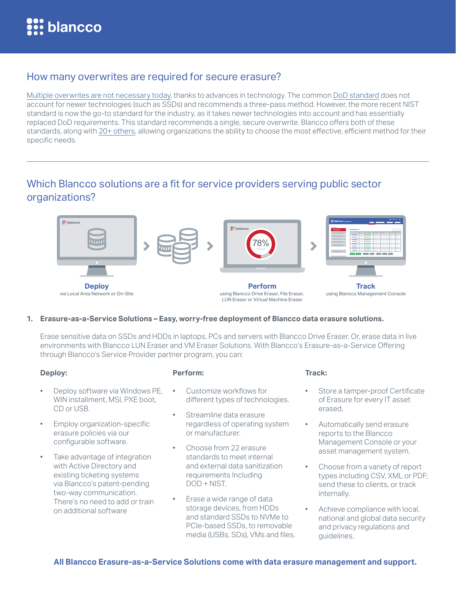## How many overwrites are required for secure erasure?

[Multiple overwrites are not necessary today](https://www.blancco.com/blog-many-overwriting-rounds-required-erase-hard-disk/), thanks to advances in technology. The common [DoD standard](https://www.blancco.com/blog-dod-5220-22-m-wiping-standard-method/) does not account for newer technologies (such as SSDs) and recommends a three-pass method. However, the more recent NIST standard is now the go-to standard for the industry, as it takes newer technologies into account and has essentially replaced DoD requirements. This standard recommends a single, secure overwrite. Blancco offers both of these standards, along with [20+ others](https://www.blancco.com/about-us/supported-standards/), allowing organizations the ability to choose the most effective, efficient method for their specific needs.

# Which Blancco solutions are a fit for service providers serving public sector organizations?



#### **1. Erasure-as-a-Service Solutions – Easy, worry-free deployment of Blancco data erasure solutions.**

Erase sensitive data on SSDs and HDDs in laptops, PCs and servers with Blancco Drive Eraser. Or, erase data in live environments with Blancco LUN Eraser and VM Eraser Solutions. With Blancco's Erasure-as-a-Service Offering through Blancco's Service Provider partner program, you can:

#### **Deploy:**

- Deploy software via Windows PE, WIN installment, MSI, PXE boot, CD or USB.
- Employ organization-specific erasure policies via our configurable software.
- Take advantage of integration with Active Directory and existing ticketing systems via Blancco's patent-pending two-way communication. There's no need to add or train on additional software
- **Perform:** 
	- Customize workflows for different types of technologies.
- Streamline data erasure regardless of operating system or manufacturer.
- Choose from 22 erasure standards to meet internal and external data sanitization requirements Including DOD + NIST.
- Erase a wide range of data storage devices, from HDDs and standard SSDs to NVMe to PCIe-based SSDs, to removable media (USBs, SDs), VMs and files.

#### **Track:**

- Store a tamper-proof Certificate of Erasure for every IT asset erased.
- Automatically send erasure reports to the Blancco Management Console or your asset management system.
- Choose from a variety of report types including CSV, XML or PDF; send these to clients, or track internally.
- Achieve compliance with local, national and global data security and privacy regulations and guidelines.